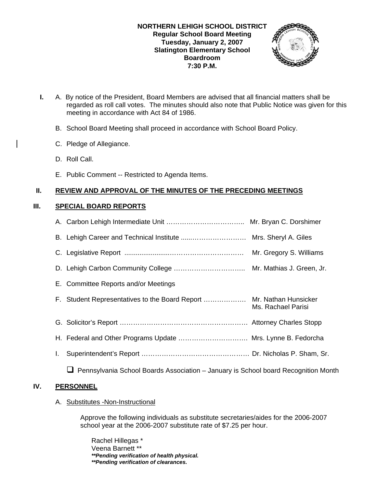

- **I.** A. By notice of the President, Board Members are advised that all financial matters shall be regarded as roll call votes. The minutes should also note that Public Notice was given for this meeting in accordance with Act 84 of 1986.
	- B. School Board Meeting shall proceed in accordance with School Board Policy.
	- C. Pledge of Allegiance.
	- D. Roll Call.
	- E. Public Comment -- Restricted to Agenda Items.

## **II. REVIEW AND APPROVAL OF THE MINUTES OF THE PRECEDING MEETINGS**

### **III. SPECIAL BOARD REPORTS**

|    |                                                                                    | Mr. Gregory S. Williams |
|----|------------------------------------------------------------------------------------|-------------------------|
|    |                                                                                    |                         |
|    | E. Committee Reports and/or Meetings                                               |                         |
|    | F. Student Representatives to the Board Report  Mr. Nathan Hunsicker               | Ms. Rachael Parisi      |
|    |                                                                                    |                         |
|    | H. Federal and Other Programs Update  Mrs. Lynne B. Fedorcha                       |                         |
| I. |                                                                                    |                         |
|    | Pennsylvania School Boards Association – January is School board Recognition Month |                         |

# **IV. PERSONNEL**

### A. Substitutes -Non-Instructional

Approve the following individuals as substitute secretaries/aides for the 2006-2007 school year at the 2006-2007 substitute rate of \$7.25 per hour.

 Rachel Hillegas \* Veena Barnett \*\* *\*\*Pending verification of health physical. \*\*Pending verification of clearances.*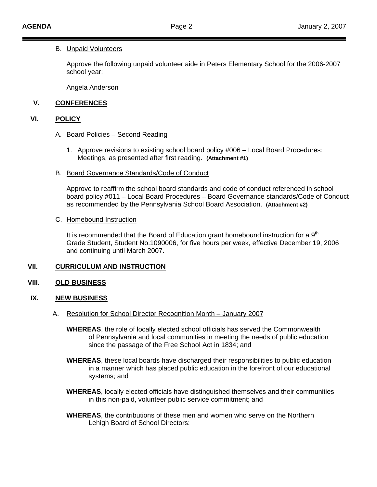#### B. Unpaid Volunteers

Approve the following unpaid volunteer aide in Peters Elementary School for the 2006-2007 school year:

Angela Anderson

### **V. CONFERENCES**

#### **VI. POLICY**

- A. Board Policies Second Reading
	- 1. Approve revisions to existing school board policy #006 Local Board Procedures: Meetings, as presented after first reading. **(Attachment #1)**
- B. Board Governance Standards/Code of Conduct

Approve to reaffirm the school board standards and code of conduct referenced in school board policy #011 – Local Board Procedures – Board Governance standards/Code of Conduct as recommended by the Pennsylvania School Board Association. **(Attachment #2)**

#### C. Homebound Instruction

It is recommended that the Board of Education grant homebound instruction for a  $9<sup>th</sup>$ Grade Student, Student No.1090006, for five hours per week, effective December 19, 2006 and continuing until March 2007.

### **VII. CURRICULUM AND INSTRUCTION**

### **VIII. OLD BUSINESS**

#### **IX. NEW BUSINESS**

- A. Resolution for School Director Recognition Month January 2007
	- **WHEREAS**, the role of locally elected school officials has served the Commonwealth of Pennsylvania and local communities in meeting the needs of public education since the passage of the Free School Act in 1834; and
	- **WHEREAS**, these local boards have discharged their responsibilities to public education in a manner which has placed public education in the forefront of our educational systems; and
	- **WHEREAS**, locally elected officials have distinguished themselves and their communities in this non-paid, volunteer public service commitment; and
	- **WHEREAS**, the contributions of these men and women who serve on the Northern Lehigh Board of School Directors: